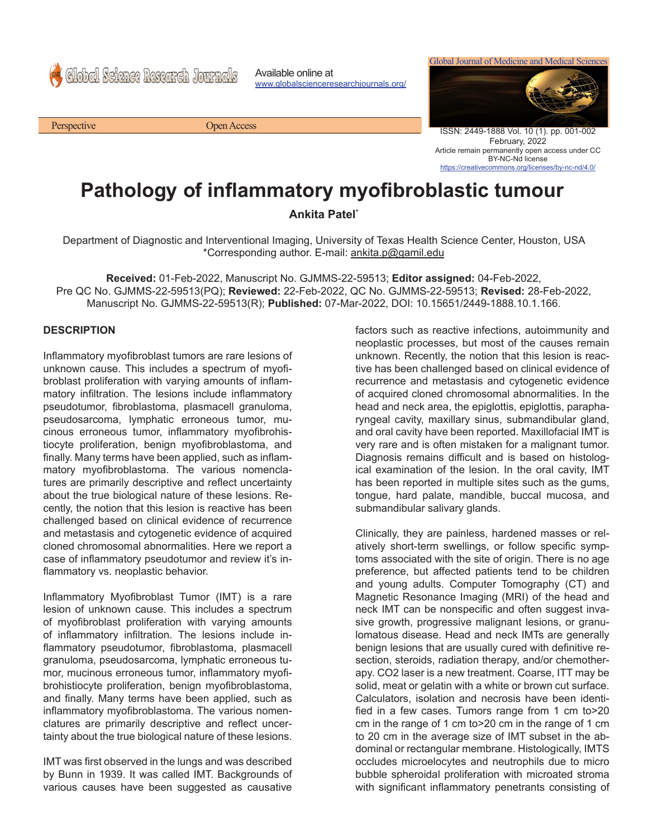Global Science Research Journals

Available online at www.globalscienceresearchjournals.org/

ISSN: 2449-1888 Vol. 10 (1). pp. 001-002 Global Journal of Medicine and Medical Sciences

February, 2022 Article remain permanently open access under CC BY-NC-Nd license https://creativecommons.org/licenses/by-nc-nd/4.0/

## **Pathology of inflammatory myofibroblastic tumour**

**Ankita Patel\***

Department of Diagnostic and Interventional Imaging, University of Texas Health Science Center, Houston, USA \*Corresponding author. E-mail: ankita.p@gamil.edu

**Received:** 01-Feb-2022, Manuscript No. GJMMS-22-59513; **Editor assigned:** 04-Feb-2022, Pre QC No. GJMMS-22-59513(PQ); **Reviewed:** 22-Feb-2022, QC No. GJMMS-22-59513; **Revised:** 28-Feb-2022, Manuscript No. GJMMS-22-59513(R); **Published:** 07-Mar-2022, DOI: 10.15651/2449-1888.10.1.166.

## **DESCRIPTION**

Inflammatory myofibroblast tumors are rare lesions of unknown cause. This includes a spectrum of myofibroblast proliferation with varying amounts of inflammatory infiltration. The lesions include inflammatory pseudotumor, fibroblastoma, plasmacell granuloma, pseudosarcoma, lymphatic erroneous tumor, mucinous erroneous tumor, inflammatory myofibrohistiocyte proliferation, benign myofibroblastoma, and finally. Many terms have been applied, such as inflammatory myofibroblastoma. The various nomenclatures are primarily descriptive and reflect uncertainty about the true biological nature of these lesions. Recently, the notion that this lesion is reactive has been challenged based on clinical evidence of recurrence and metastasis and cytogenetic evidence of acquired cloned chromosomal abnormalities. Here we report a case of inflammatory pseudotumor and review it's inflammatory vs. neoplastic behavior.

Inflammatory Myofibroblast Tumor (IMT) is a rare lesion of unknown cause. This includes a spectrum of myofibroblast proliferation with varying amounts of inflammatory infiltration. The lesions include inflammatory pseudotumor, fibroblastoma, plasmacell granuloma, pseudosarcoma, lymphatic erroneous tumor, mucinous erroneous tumor, inflammatory myofibrohistiocyte proliferation, benign myofibroblastoma, and finally. Many terms have been applied, such as inflammatory myofibroblastoma. The various nomenclatures are primarily descriptive and reflect uncertainty about the true biological nature of these lesions.

IMT was first observed in the lungs and was described by Bunn in 1939. It was called IMT. Backgrounds of various causes have been suggested as causative

factors such as reactive infections, autoimmunity and neoplastic processes, but most of the causes remain unknown. Recently, the notion that this lesion is reactive has been challenged based on clinical evidence of recurrence and metastasis and cytogenetic evidence of acquired cloned chromosomal abnormalities. In the head and neck area, the epiglottis, epiglottis, parapharyngeal cavity, maxillary sinus, submandibular gland, and oral cavity have been reported. Maxillofacial IMT is very rare and is often mistaken for a malignant tumor. Diagnosis remains difficult and is based on histological examination of the lesion. In the oral cavity, IMT has been reported in multiple sites such as the gums, tongue, hard palate, mandible, buccal mucosa, and submandibular salivary glands.

Clinically, they are painless, hardened masses or relatively short-term swellings, or follow specific symptoms associated with the site of origin. There is no age preference, but affected patients tend to be children and young adults. Computer Tomography (CT) and Magnetic Resonance Imaging (MRI) of the head and neck IMT can be nonspecific and often suggest invasive growth, progressive malignant lesions, or granulomatous disease. Head and neck IMTs are generally benign lesions that are usually cured with definitive resection, steroids, radiation therapy, and/or chemotherapy. CO2 laser is a new treatment. Coarse, ITT may be solid, meat or gelatin with a white or brown cut surface. Calculators, isolation and necrosis have been identified in a few cases. Tumors range from 1 cm to>20 cm in the range of 1 cm to>20 cm in the range of 1 cm to 20 cm in the average size of IMT subset in the abdominal or rectangular membrane. Histologically, IMTS occludes microelocytes and neutrophils due to micro bubble spheroidal proliferation with microated stroma with significant inflammatory penetrants consisting of



Perspective Open Access